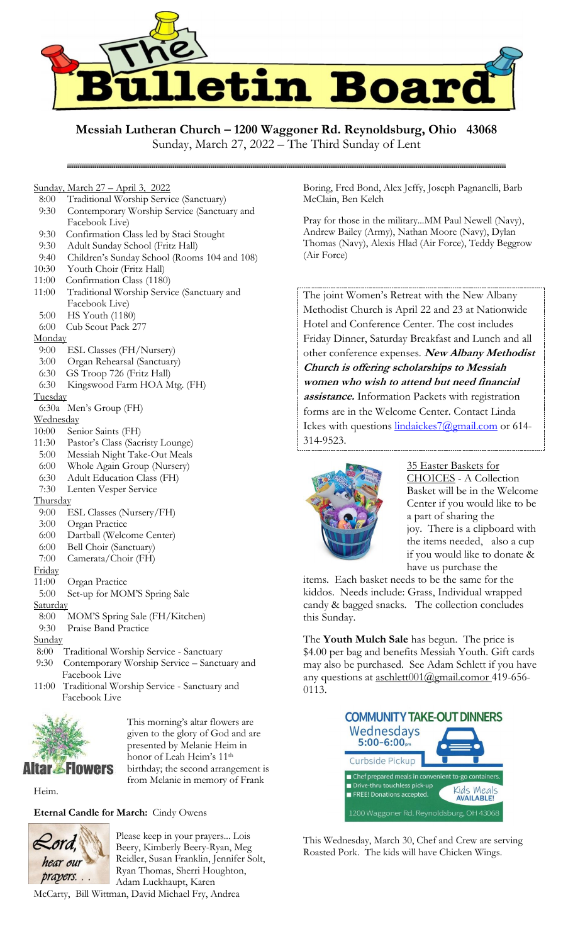

**Messiah Lutheran Church – 1200 Waggoner Rd. Reynoldsburg, Ohio 43068**

### Sunday, March 27 – April 3, 2022

- 8:00 Traditional Worship Service (Sanctuary)
- 9:30 Contemporary Worship Service (Sanctuary and Facebook Live)
- 9:30 Confirmation Class led by Staci Stought
- 9:30 Adult Sunday School (Fritz Hall)

- 9:40 Children's Sunday School (Rooms 104 and 108)
- 10:30 Youth Choir (Fritz Hall)
- 11:00 Confirmation Class (1180)
- 11:00 Traditional Worship Service (Sanctuary and Facebook Live)
- 5:00 HS Youth (1180)
- 6:00 Cub Scout Pack 277

### **Monday**

- 9:00 ESL Classes (FH/Nursery)
- 3:00 Organ Rehearsal (Sanctuary)
- 6:30 GS Troop 726 (Fritz Hall)
- 6:30 Kingswood Farm HOA Mtg. (FH)

## **Tuesday**

- 6:30a Men's Group (FH)
- **Wednesday**
- 10:00 Senior Saints (FH)
- 11:30 Pastor's Class (Sacristy Lounge)
- 5:00 Messiah Night Take-Out Meals
- 6:00 Whole Again Group (Nursery)
- 6:30 Adult Education Class (FH)
- 7:30 Lenten Vesper Service

## **Thursday**

- 9:00 ESL Classes (Nursery/FH)
- 3:00 Organ Practice
- 6:00 Dartball (Welcome Center)
- 6:00 Bell Choir (Sanctuary)
- 7:00 Camerata/Choir (FH)

### Friday

- 11:00 Organ Practice
- 5:00 Set-up for MOM'S Spring Sale

# **Saturday**

 8:00 MOM'S Spring Sale (FH/Kitchen) 9:30 Praise Band Practice

# **Sunday**

- 8:00 Traditional Worship Service Sanctuary
- 9:30 Contemporary Worship Service Sanctuary and Facebook Live
- 11:00 Traditional Worship Service Sanctuary and Facebook Live



This morning's altar flowers are given to the glory of God and are presented by Melanie Heim in honor of Leah Heim's 11<sup>th</sup> birthday; the second arrangement is from Melanie in memory of Frank

Heim.

**Eternal Candle for March:** Cindy Owens



Please keep in your prayers... Lois Beery, Kimberly Beery-Ryan, Meg Reidler, Susan Franklin, Jennifer Solt, Ryan Thomas, Sherri Houghton, Adam Luckhaupt, Karen

McCarty, Bill Wittman, David Michael Fry, Andrea

Boring, Fred Bond, Alex Jeffy, Joseph Pagnanelli, Barb McClain, Ben Kelch

Pray for those in the military...MM Paul Newell (Navy), Andrew Bailey (Army), Nathan Moore (Navy), Dylan Thomas (Navy), Alexis Hlad (Air Force), Teddy Beggrow (Air Force)

The joint Women's Retreat with the New Albany Methodist Church is April 22 and 23 at Nationwide Hotel and Conference Center. The cost includes Friday Dinner, Saturday Breakfast and Lunch and all other conference expenses. **New Albany Methodist Church is offering scholarships to Messiah women who wish to attend but need financial assistance.** Information Packets with registration forms are in the Welcome Center. Contact Linda Ickes with questions [lindaickes7@gmail.com](mailto:lindaickes7@gmail.com) or 614-314-9523.



35 Easter Baskets for CHOICES - A Collection Basket will be in the Welcome Center if you would like to be a part of sharing the joy. There is a clipboard with the items needed, also a cup if you would like to donate & have us purchase the

items. Each basket needs to be the same for the kiddos. Needs include: Grass, Individual wrapped candy & bagged snacks. The collection concludes this Sunday.

The **Youth Mulch Sale** has begun. The price is \$4.00 per bag and benefits Messiah Youth. Gift cards may also be purchased. See Adam Schlett if you have any questions at [aschlett001@gmail.comor](mailto:aschlett001@gmail.comor) 419-656-0113.



This Wednesday, March 30, Chef and Crew are serving Roasted Pork. The kids will have Chicken Wings.

Sunday, March 27, 2022 – The Third Sunday of Lent